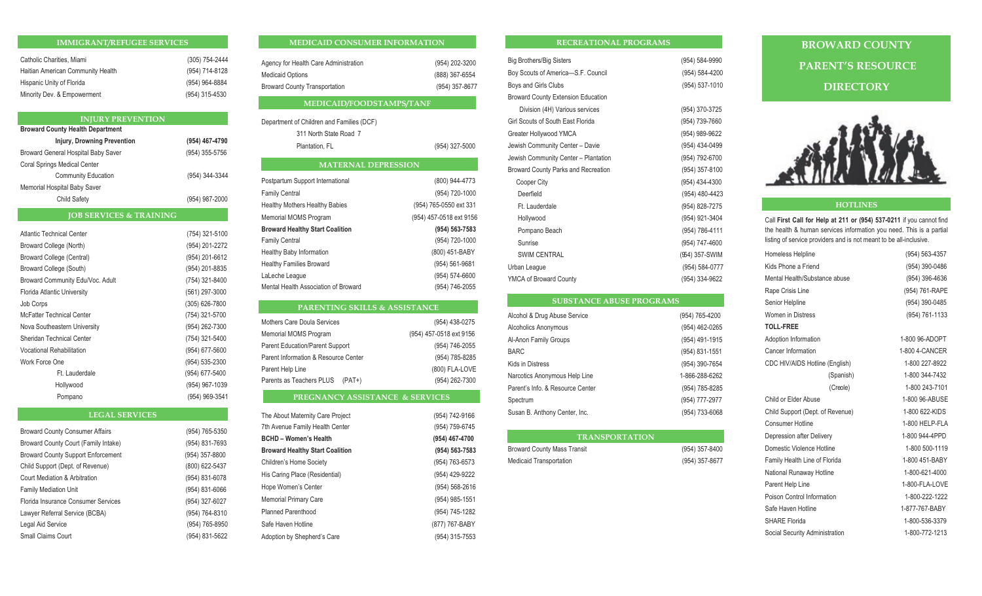## **IMMIGRANT/REFUGEE SERVICES IMMIGRANT/REFUGEE SERVICES IMMIGRANT/REFUGEE SERVICES IMMIGRANT/REFUGEE SERVICES**

| Catholic Charities, Miami         | (305) 754-2444 |
|-----------------------------------|----------------|
| Haitian American Community Health | (954) 714-8128 |
| Hispanic Unity of Florida         | (954) 964-8884 |
| Minority Dev. & Empowerment       | (954) 315-4530 |

## **INJURY PREVENTION INJURY PREVENTION INJURY PREVENTION INJURY PREVENTION**

| <b>Broward County Health Department</b> |                |  |  |
|-----------------------------------------|----------------|--|--|
| <b>Injury, Drowning Prevention</b>      | (954) 467-4790 |  |  |
| Broward General Hospital Baby Saver     | (954) 355-5756 |  |  |
| <b>Coral Springs Medical Center</b>     |                |  |  |
| <b>Community Education</b>              | (954) 344-3344 |  |  |
| Memorial Hospital Baby Saver            |                |  |  |
| <b>Child Safety</b>                     | (954) 987-2000 |  |  |

## **JOB SERVICES & TRAINING JOB SERVICES & TRAINING JOB SERVICES & TRAINING JOB SERVICES & TRAINING**

|                  | <b>Atlantic Technical Center</b> | (754) 321-5100 |
|------------------|----------------------------------|----------------|
|                  | Broward College (North)          | (954) 201-2272 |
|                  | Broward College (Central)        | (954) 201-6612 |
|                  | Broward College (South)          | (954) 201-8835 |
|                  | Broward Community Edu/Voc. Adult | (754) 321-8400 |
|                  | Florida Atlantic University      | (561) 297-3000 |
| <b>Job Corps</b> |                                  | (305) 626-7800 |
|                  | <b>McFatter Technical Center</b> | (754) 321-5700 |
|                  | Nova Southeastern University     | (954) 262-7300 |
|                  | Sheridan Technical Center        | (754) 321-5400 |
|                  | Vocational Rehabilitation        | (954) 677-5600 |
| Work Force One   |                                  | (954) 535-2300 |
|                  | Ft. Lauderdale                   | (954) 677-5400 |
|                  | Hollywood                        | (954) 967-1039 |
|                  | Pompano                          | (954) 969-3541 |

## **LEGAL SERVICES LEGAL SERVICES LEGAL SERVICES LEGAL SERVICES**

| <b>Broward County Consumer Affairs</b>    | (954) 765-5350 |
|-------------------------------------------|----------------|
| Broward County Court (Family Intake)      | (954) 831-7693 |
| <b>Broward County Support Enforcement</b> | (954) 357-8800 |
| Child Support (Dept. of Revenue)          | (800) 622-5437 |
| Court Mediation & Arbitration             | (954) 831-6078 |
| <b>Family Mediation Unit</b>              | (954) 831-6066 |
| Florida Insurance Consumer Services       | (954) 327-6027 |
| Lawyer Referral Service (BCBA)            | (954) 764-8310 |
| Legal Aid Service                         | (954) 765-8950 |
| <b>Small Claims Court</b>                 | (954) 831-5622 |

## **MEDICAID CONSUMER INFORMATION MEDICAID CONSUMER INFORMATION MEDICAID CONSUMER INFORMATION MEDICAID CONSUMER INFORMATION**

| Agency for Health Care Administration | (954) 202-3200 |
|---------------------------------------|----------------|
| <b>Medicaid Options</b>               | (888) 367-6554 |
| <b>Broward County Transportation</b>  | (954) 357-8677 |

## **MEDICAID/FOODSTAMPS/TANF MEDICAID/FOODSTAMPS/TANF MEDICAID/FOODSTAMPS/TANF MEDICAID/FOODSTAMPS/TANF**

| Department of Children and Families (DCF) |  |
|-------------------------------------------|--|
| 311 North State Road 7                    |  |

| Plantation, FL | (954) 327-5000 |
|----------------|----------------|
|                |                |

| <b>MATERNAL DEPRESSION</b>             |                         |  |  |
|----------------------------------------|-------------------------|--|--|
| Postpartum Support International       | (800) 944-4773          |  |  |
| <b>Family Central</b>                  | (954) 720-1000          |  |  |
| <b>Healthy Mothers Healthy Babies</b>  | (954) 765-0550 ext 331  |  |  |
| Memorial MOMS Program                  | (954) 457-0518 ext 9156 |  |  |
| <b>Broward Healthy Start Coalition</b> | (954) 563-7583          |  |  |
| <b>Family Central</b>                  | (954) 720-1000          |  |  |
| Healthy Baby Information               | (800) 451-BABY          |  |  |
| <b>Healthy Families Broward</b>        | (954) 561-9681          |  |  |
| LaLeche League                         | (954) 574-6600          |  |  |
| Mental Health Association of Broward   | (954) 746-2055          |  |  |
|                                        |                         |  |  |

| <b>PARENTING SKILLS &amp; ASSISTANCE</b> |                         |  |  |
|------------------------------------------|-------------------------|--|--|
| Mothers Care Doula Services              | (954) 438-0275          |  |  |
| Memorial MOMS Program                    | (954) 457-0518 ext 9156 |  |  |
| <b>Parent Education/Parent Support</b>   | (954) 746-2055          |  |  |
| Parent Information & Resource Center     | (954) 785-8285          |  |  |
| Parent Help Line                         | (800) FLA-LOVE          |  |  |
| Parents as Teachers PLUS<br>$(PAT+)$     | (954) 262-7300          |  |  |

## **PREGNANCY ASSISTANCE & SERVICES PREGNANCY ASSISTANCE & SERVICES PREGNANCY ASSISTANCE & SERVICES PREGNANCY ASSISTANCE & SERVICES**

| The About Maternity Care Project       | (954) 742-9166 | Susan B. Anthony Center, Inc.      | (954) 733-6068 | Child Support (Dept. of Revenue) | 1-800 622-KIDS |
|----------------------------------------|----------------|------------------------------------|----------------|----------------------------------|----------------|
| 7th Avenue Family Health Center        | (954) 759-6745 |                                    |                | <b>Consumer Hotline</b>          | 1-800 HELP-FL/ |
| <b>BCHD - Women's Health</b>           | (954) 467-4700 | <b>TRANSPORTATION</b>              |                | Depression after Delivery        | 1-800 944-4PPD |
| <b>Broward Healthy Start Coalition</b> | (954) 563-7583 | <b>Broward County Mass Transit</b> | (954) 357-8400 | Domestic Violence Hotline        | 1-800 500-1119 |
| Children's Home Society                | (954) 763-6573 | <b>Medicaid Transportation</b>     | (954) 357-8677 | Family Health Line of Florida    | 1-800 451-BABY |
| His Caring Place (Residential)         | (954) 429-9222 |                                    |                | National Runaway Hotline         | 1-800-621-4000 |
| Hope Women's Center                    | (954) 568-2616 |                                    |                | Parent Help Line                 | 1-800-FLA-LOVE |
| <b>Memorial Primary Care</b>           | (954) 985-1551 |                                    |                | Poison Control Information       | 1-800-222-1222 |
| <b>Planned Parenthood</b>              | (954) 745-1282 |                                    |                | Safe Haven Hotline               | 1-877-767-BABY |
| Safe Haven Hotline                     | (877) 767-BABY |                                    |                | SHARE Florida                    | 1-800-536-3379 |
| Adoption by Shepherd's Care            | (954) 315-7553 |                                    |                | Social Security Administration   | 1-800-772-1213 |
|                                        |                |                                    |                |                                  |                |

## **RECREATIONAL PROGRAMS RECREATIONAL PROGRAMS RECREATIONAL PROGRAMS RECREATIONAL PROGRAMS**

| <b>Big Brothers/Big Sisters</b>            | (954) 584-9990 |
|--------------------------------------------|----------------|
| Boy Scouts of America-S.F. Council         | (954) 584-4200 |
| Boys and Girls Clubs                       | (954) 537-1010 |
| <b>Broward County Extension Education</b>  |                |
| Division (4H) Various services             | (954) 370-3725 |
| Girl Scouts of South East Florida          | (954) 739-7660 |
| Greater Hollywood YMCA                     | (954) 989-9622 |
| Jewish Community Center - Davie            | (954) 434-0499 |
| Jewish Community Center - Plantation       | (954) 792-6700 |
| <b>Broward County Parks and Recreation</b> | (954) 357-8100 |
| Cooper City                                | (954) 434-4300 |
| Deerfield                                  | (954) 480-4423 |
| Ft. Lauderdale                             | (954) 828-7275 |
| Hollywood                                  | (954) 921-3404 |
| Pompano Beach                              | (954) 786-4111 |
| Sunrise                                    | (954) 747-4600 |
| <b>SWIM CENTRAL</b>                        | (954) 357-SWIM |
| Urban League                               | (954) 584-0777 |
| YMCA of Broward County                     | (954) 334-9622 |
|                                            |                |

## **SUBSTANCE ABUSE PROGRAMS SUBSTANCE ABUSE PROGRAMS SUBSTANCE ABUSE PROGRAMS SUBSTANCE ABUSE PROGRAMS**

| Alcohol & Drug Abuse Service     | (954) 765-4200 |
|----------------------------------|----------------|
| <b>Alcoholics Anonymous</b>      | (954) 462-0265 |
| Al-Anon Family Groups            | (954) 491-1915 |
| <b>BARC</b>                      | (954) 831-1551 |
| <b>Kids in Distress</b>          | (954) 390-7654 |
| Narcotics Anonymous Help Line    | 1-866-288-6262 |
| Parent's Info. & Resource Center | (954) 785-8285 |
| Spectrum                         | (954) 777-2977 |
| Susan B. Anthony Center, Inc.    | (954) 733-6068 |
|                                  |                |

## **TRANSPORTATION TRANSPORTATION TRANSPORTATION TRANSPORTATION**

| <b>Broward County Mass Transit</b> | (954) 357-8400 |
|------------------------------------|----------------|
| <b>Medicaid Transportation</b>     | (954) 357-8677 |

# **BROWARD COUNTY BROWARD COUNTY BROWARD COUNTY BROWARD COUNTY PARENT'S RESOURCE PARENT'S RESOURCE PARENT'S RESOURCE PARENT'S RESOURCE DIRECTORY DIRECTORY DIRECTORY DIRECTORY**



## **HOTLINES HOTLINES HOTLINES HOTLINES**

Call First Call for Help at 211 or (954) 537-0211 if you cannot find the health & human services information you need. This is a partial listing of service providers and is not meant to be all-inclusive.

| Homeless Helpline                | (954) 563-4357 |
|----------------------------------|----------------|
| Kids Phone a Friend              | (954) 390-0486 |
| Mental Health/Substance abuse    | (954) 396-4636 |
| Rape Crisis Line                 | (954) 761-RAPE |
| Senior Helpline                  | (954) 390-0485 |
| <b>Women in Distress</b>         | (954) 761-1133 |
| <b>TOLL-FREE</b>                 |                |
| Adoption Information             | 1-800 96-ADOPT |
| Cancer Information               | 1-800 4-CANCER |
| CDC HIV/AIDS Hotline (English)   | 1-800 227-8922 |
| (Spanish)                        | 1-800 344-7432 |
| (Creole)                         | 1-800 243-7101 |
| Child or Elder Abuse             | 1-800 96-ABUSE |
| Child Support (Dept. of Revenue) | 1-800 622-KIDS |
| <b>Consumer Hotline</b>          | 1-800 HELP-FLA |
| Depression after Delivery        | 1-800 944-4PPD |
| Domestic Violence Hotline        | 1-800 500-1119 |
| Family Health Line of Florida    | 1-800 451-BABY |
| National Runaway Hotline         | 1-800-621-4000 |
| Parent Help Line                 | 1-800-FLA-LOVE |
| Poison Control Information       | 1-800-222-1222 |
| Safe Haven Hotline               | 1-877-767-BABY |
| <b>SHARE Florida</b>             | 1-800-536-3379 |
| Cooial Coourity Administration   | 1 000 772 1212 |